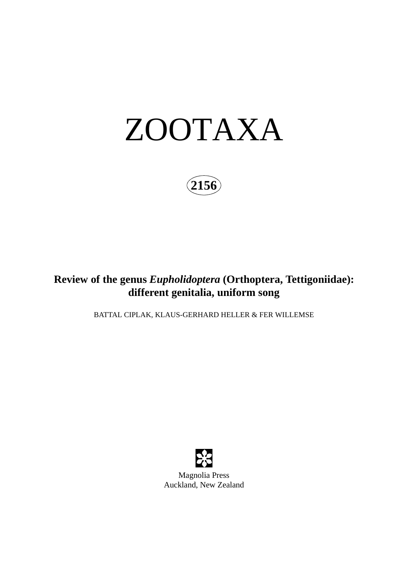

**2156**

# **Review of the genus** *Eupholidoptera* **(Orthoptera, Tettigoniidae): different genitalia, uniform song**

BATTAL CIPLAK, KLAUS-GERHARD HELLER & FER WILLEMSE



Magnolia Press Auckland, New Zealand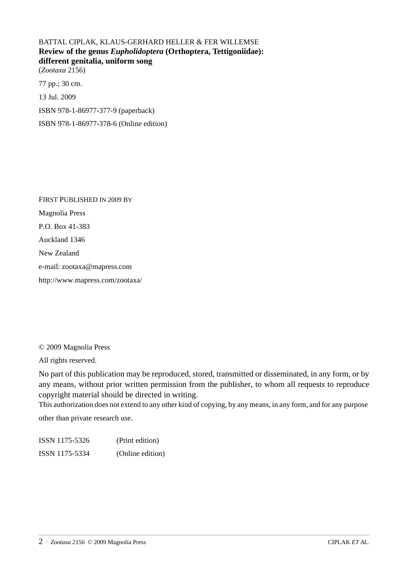### BATTAL CIPLAK, KLAUS-GERHARD HELLER & FER WILLEMSE **Review of the genus** *Eupholidoptera* **(Orthoptera, Tettigoniidae): different genitalia, uniform song**

(*Zootaxa* 2156)

77 pp.; 30 cm. 13 Jul. 2009

ISBN 978-1-86977-377-9 (paperback)

ISBN 978-1-86977-378-6 (Online edition)

FIRST PUBLISHED IN 2009 BY Magnolia Press P.O. Box 41-383 Auckland 1346 New Zealand e-mail: zootaxa@mapress.com http://www.mapress.com/zootaxa/

© 2009 Magnolia Press

All rights reserved.

No part of this publication may be reproduced, stored, transmitted or disseminated, in any form, or by any means, without prior written permission from the publisher, to whom all requests to reproduce copyright material should be directed in writing.

This authorization does not extend to any other kind of copying, by any means, in any form, and for any purpose other than private research use.

ISSN 1175-5326 (Print edition) ISSN 1175-5334 (Online edition)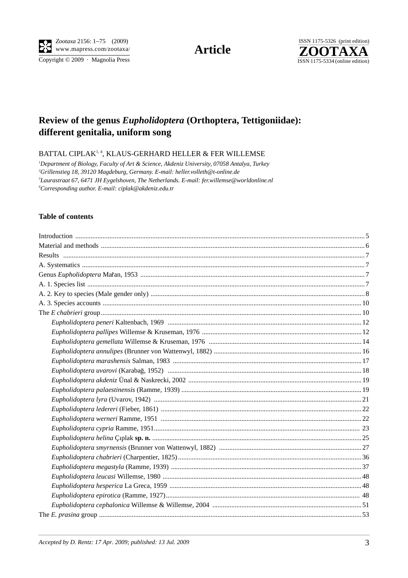

Copyright © 2009 · Magnolia Press

**Article** 



## Review of the genus Eupholidoptera (Orthoptera, Tettigoniidae): different genitalia, uniform song

BATTAL CIPLAK<sup>1,4</sup>, KLAUS-GERHARD HELLER & FER WILLEMSE

<sup>1</sup>Department of Biology, Faculty of Art & Science, Akdeniz University, 07058 Antalya, Turkey <sup>2</sup>Grillenstieg 18, 39120 Magdeburg, Germany. E-mail: heller.volleth@t-online.de <sup>3</sup>Laurastraat 67, 6471 JH Eygelshoven, The Netherlands. E-mail: fer.willemse@worldonline.nl <sup>4</sup>Corresponding author. E-mail: ciplak@akdeniz.edu.tr

#### **Table of contents**